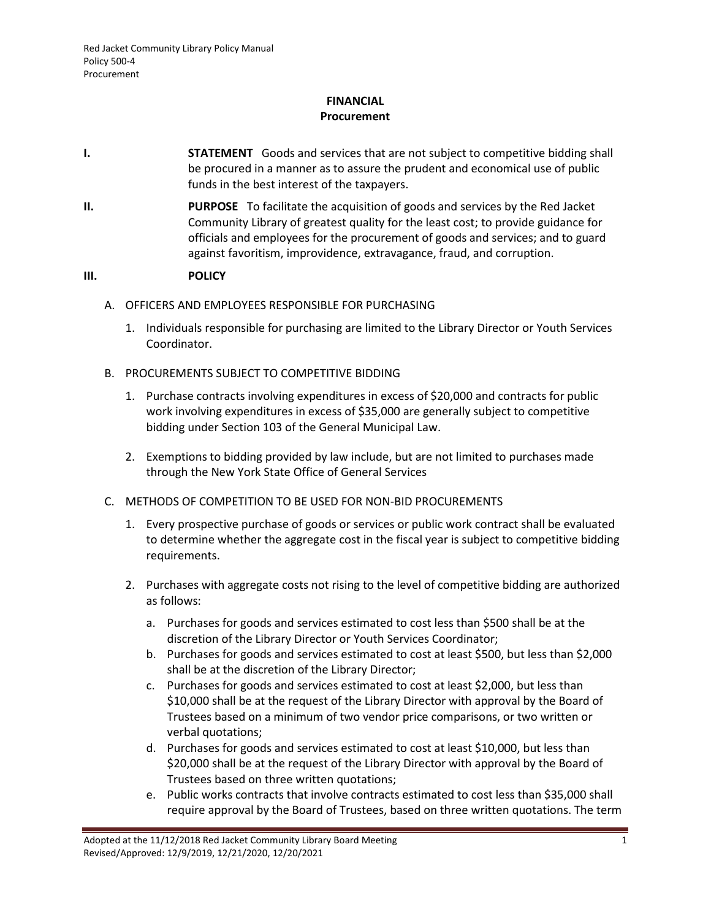#### **FINANCIAL Procurement**

- **I. STATEMENT** Goods and services that are not subject to competitive bidding shall be procured in a manner as to assure the prudent and economical use of public funds in the best interest of the taxpayers.
- **II. PURPOSE** To facilitate the acquisition of goods and services by the Red Jacket Community Library of greatest quality for the least cost; to provide guidance for officials and employees for the procurement of goods and services; and to guard against favoritism, improvidence, extravagance, fraud, and corruption.

### **III. POLICY**

- A. OFFICERS AND EMPLOYEES RESPONSIBLE FOR PURCHASING
	- 1. Individuals responsible for purchasing are limited to the Library Director or Youth Services Coordinator.
- B. PROCUREMENTS SUBJECT TO COMPETITIVE BIDDING
	- 1. Purchase contracts involving expenditures in excess of \$20,000 and contracts for public work involving expenditures in excess of \$35,000 are generally subject to competitive bidding under Section 103 of the General Municipal Law.
	- 2. Exemptions to bidding provided by law include, but are not limited to purchases made through the New York State Office of General Services
- C. METHODS OF COMPETITION TO BE USED FOR NON-BID PROCUREMENTS
	- 1. Every prospective purchase of goods or services or public work contract shall be evaluated to determine whether the aggregate cost in the fiscal year is subject to competitive bidding requirements.
	- 2. Purchases with aggregate costs not rising to the level of competitive bidding are authorized as follows:
		- a. Purchases for goods and services estimated to cost less than \$500 shall be at the discretion of the Library Director or Youth Services Coordinator;
		- b. Purchases for goods and services estimated to cost at least \$500, but less than \$2,000 shall be at the discretion of the Library Director;
		- c. Purchases for goods and services estimated to cost at least \$2,000, but less than \$10,000 shall be at the request of the Library Director with approval by the Board of Trustees based on a minimum of two vendor price comparisons, or two written or verbal quotations;
		- d. Purchases for goods and services estimated to cost at least \$10,000, but less than \$20,000 shall be at the request of the Library Director with approval by the Board of Trustees based on three written quotations;
		- e. Public works contracts that involve contracts estimated to cost less than \$35,000 shall require approval by the Board of Trustees, based on three written quotations. The term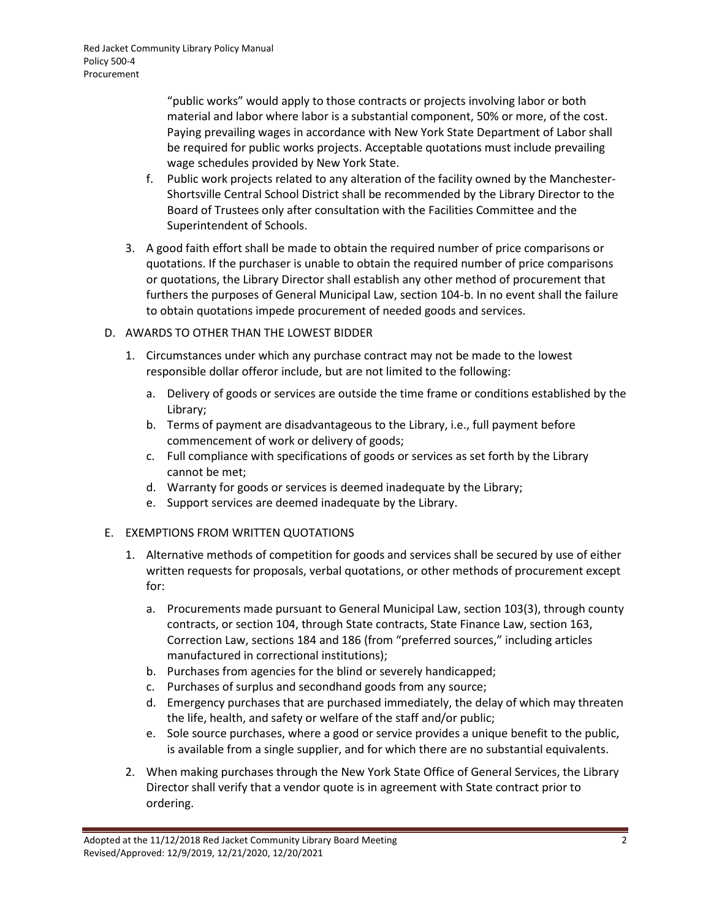"public works" would apply to those contracts or projects involving labor or both material and labor where labor is a substantial component, 50% or more, of the cost. Paying prevailing wages in accordance with New York State Department of Labor shall be required for public works projects. Acceptable quotations must include prevailing wage schedules provided by New York State.

- f. Public work projects related to any alteration of the facility owned by the Manchester-Shortsville Central School District shall be recommended by the Library Director to the Board of Trustees only after consultation with the Facilities Committee and the Superintendent of Schools.
- 3. A good faith effort shall be made to obtain the required number of price comparisons or quotations. If the purchaser is unable to obtain the required number of price comparisons or quotations, the Library Director shall establish any other method of procurement that furthers the purposes of General Municipal Law, section 104-b. In no event shall the failure to obtain quotations impede procurement of needed goods and services.
- D. AWARDS TO OTHER THAN THE LOWEST BIDDER
	- 1. Circumstances under which any purchase contract may not be made to the lowest responsible dollar offeror include, but are not limited to the following:
		- a. Delivery of goods or services are outside the time frame or conditions established by the Library;
		- b. Terms of payment are disadvantageous to the Library, i.e., full payment before commencement of work or delivery of goods;
		- c. Full compliance with specifications of goods or services as set forth by the Library cannot be met;
		- d. Warranty for goods or services is deemed inadequate by the Library;
		- e. Support services are deemed inadequate by the Library.
- E. EXEMPTIONS FROM WRITTEN QUOTATIONS
	- 1. Alternative methods of competition for goods and services shall be secured by use of either written requests for proposals, verbal quotations, or other methods of procurement except for:
		- a. Procurements made pursuant to General Municipal Law, section 103(3), through county contracts, or section 104, through State contracts, State Finance Law, section 163, Correction Law, sections 184 and 186 (from "preferred sources," including articles manufactured in correctional institutions);
		- b. Purchases from agencies for the blind or severely handicapped;
		- c. Purchases of surplus and secondhand goods from any source;
		- d. Emergency purchases that are purchased immediately, the delay of which may threaten the life, health, and safety or welfare of the staff and/or public;
		- e. Sole source purchases, where a good or service provides a unique benefit to the public, is available from a single supplier, and for which there are no substantial equivalents.
	- 2. When making purchases through the New York State Office of General Services, the Library Director shall verify that a vendor quote is in agreement with State contract prior to ordering.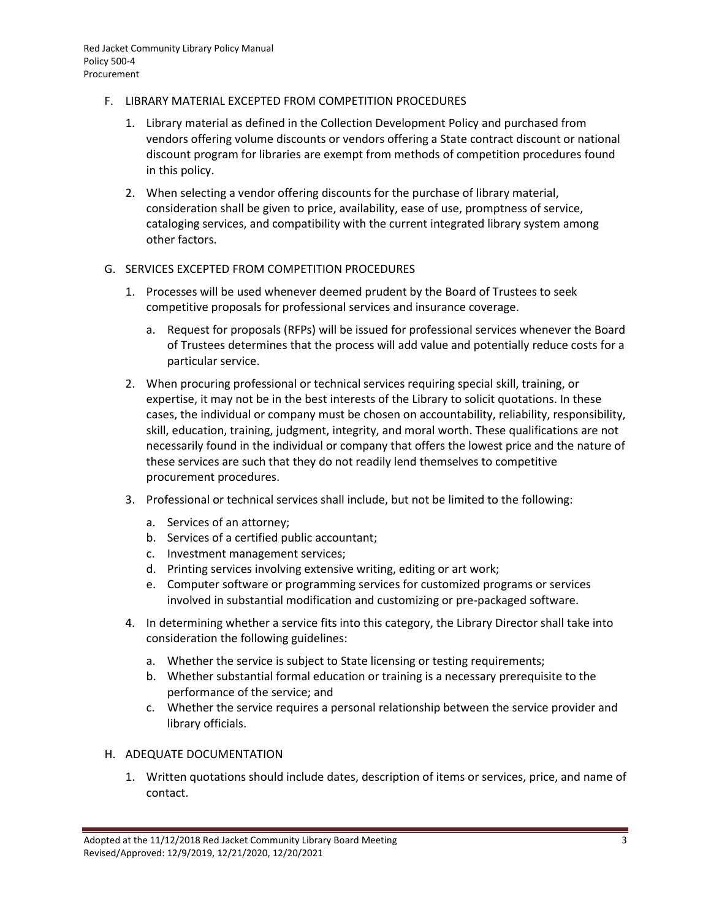### F. LIBRARY MATERIAL EXCEPTED FROM COMPETITION PROCEDURES

- 1. Library material as defined in the Collection Development Policy and purchased from vendors offering volume discounts or vendors offering a State contract discount or national discount program for libraries are exempt from methods of competition procedures found in this policy.
- 2. When selecting a vendor offering discounts for the purchase of library material, consideration shall be given to price, availability, ease of use, promptness of service, cataloging services, and compatibility with the current integrated library system among other factors.

# G. SERVICES EXCEPTED FROM COMPETITION PROCEDURES

- 1. Processes will be used whenever deemed prudent by the Board of Trustees to seek competitive proposals for professional services and insurance coverage.
	- a. Request for proposals (RFPs) will be issued for professional services whenever the Board of Trustees determines that the process will add value and potentially reduce costs for a particular service.
- 2. When procuring professional or technical services requiring special skill, training, or expertise, it may not be in the best interests of the Library to solicit quotations. In these cases, the individual or company must be chosen on accountability, reliability, responsibility, skill, education, training, judgment, integrity, and moral worth. These qualifications are not necessarily found in the individual or company that offers the lowest price and the nature of these services are such that they do not readily lend themselves to competitive procurement procedures.
- 3. Professional or technical services shall include, but not be limited to the following:
	- a. Services of an attorney;
	- b. Services of a certified public accountant;
	- c. Investment management services;
	- d. Printing services involving extensive writing, editing or art work;
	- e. Computer software or programming services for customized programs or services involved in substantial modification and customizing or pre-packaged software.
- 4. In determining whether a service fits into this category, the Library Director shall take into consideration the following guidelines:
	- a. Whether the service is subject to State licensing or testing requirements;
	- b. Whether substantial formal education or training is a necessary prerequisite to the performance of the service; and
	- c. Whether the service requires a personal relationship between the service provider and library officials.

### H. ADEQUATE DOCUMENTATION

1. Written quotations should include dates, description of items or services, price, and name of contact.